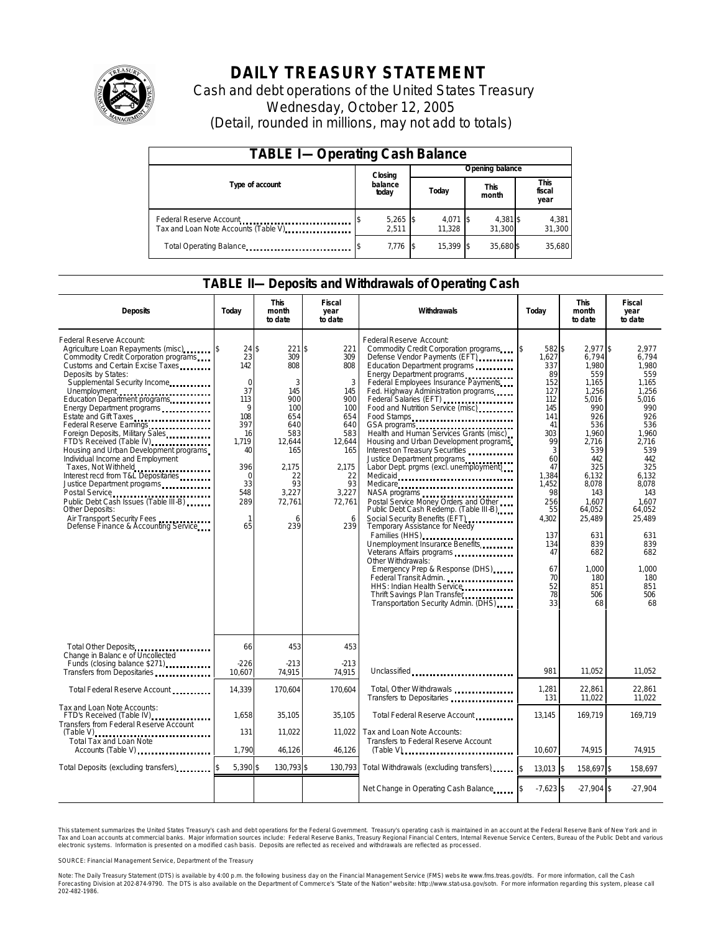

# **DAILY TREASURY STATEMENT**

Cash and debt operations of the United States Treasury Wednesday, October 12, 2005 (Detail, rounded in millions, may not add to totals)

| <b>TABLE I-Operating Cash Balance</b>                            |  |                     |  |                    |  |                    |  |                               |
|------------------------------------------------------------------|--|---------------------|--|--------------------|--|--------------------|--|-------------------------------|
|                                                                  |  | Closing             |  | Opening balance    |  |                    |  |                               |
| Type of account                                                  |  | balance<br>today    |  | Today              |  | This<br>month      |  | <b>This</b><br>fiscal<br>year |
| Federal Reserve Account<br>Tax and Loan Note Accounts (Table V). |  | $5,265$ \$<br>2.511 |  | 4,071 \$<br>11.328 |  | 4,381 \$<br>31.300 |  | 4,381<br>31,300               |
| Total Operating Balance                                          |  | $7,776$ \$          |  | 15.399 \$          |  | 35.680\$           |  | 35,680                        |

### **TABLE II—Deposits and Withdrawals of Operating Cash**

| <b>Deposits</b>                                                                                                                                                                                                                                                                                                                                                                                                                                                                                                                                                                                                                                                                                                                                         | Today                                                                                                                                             | <b>This</b><br>month<br>to date                                                                                                            | Fiscal<br>year<br>to date                                                                                                             | Withdrawals                                                                                                                                                                                                                                                                                                                                                                                                                                                                                                                                                                                                                                                                                                                                                                                                                                                                                                                                                                                                                          | Today                                                                                                                                                                                                     | <b>This</b><br>month<br>to date                                                                                                                                                                                                           | Fiscal<br>year<br>to date                                                                                                                                                                                                            |
|---------------------------------------------------------------------------------------------------------------------------------------------------------------------------------------------------------------------------------------------------------------------------------------------------------------------------------------------------------------------------------------------------------------------------------------------------------------------------------------------------------------------------------------------------------------------------------------------------------------------------------------------------------------------------------------------------------------------------------------------------------|---------------------------------------------------------------------------------------------------------------------------------------------------|--------------------------------------------------------------------------------------------------------------------------------------------|---------------------------------------------------------------------------------------------------------------------------------------|--------------------------------------------------------------------------------------------------------------------------------------------------------------------------------------------------------------------------------------------------------------------------------------------------------------------------------------------------------------------------------------------------------------------------------------------------------------------------------------------------------------------------------------------------------------------------------------------------------------------------------------------------------------------------------------------------------------------------------------------------------------------------------------------------------------------------------------------------------------------------------------------------------------------------------------------------------------------------------------------------------------------------------------|-----------------------------------------------------------------------------------------------------------------------------------------------------------------------------------------------------------|-------------------------------------------------------------------------------------------------------------------------------------------------------------------------------------------------------------------------------------------|--------------------------------------------------------------------------------------------------------------------------------------------------------------------------------------------------------------------------------------|
| Federal Reserve Account:<br>Agriculture Loan Repayments (misc)<br>Commodity Credit Corporation programs<br>Customs and Certain Excise Taxes<br>Deposits by States:<br>Supplemental Security Income<br>Unemployment<br>Education Department programs<br>Energy Department programs<br>Estate and Gift Taxes<br>Federal Reserve Earnings<br>Foreign Deposits, Military Sales<br>FTD's Received (Table IV) <b>FTD</b> 's Received (Table IV)<br>Housing and Urban Development programs<br>Individual Income and Employment<br>Taxes, Not Withheld<br>Interest recd from T&L Depositaries<br>Justice Department programs<br>Public Debt Cash Issues (Table III-B)<br>Other Deposits:<br>Air Transport Security Fees<br>Defense Finance & Accounting Service | 24S<br>23<br>142<br>$\mathbf 0$<br>37<br>113<br>9<br>108<br>397<br>16<br>1,719<br>40<br>396<br>$\Omega$<br>33<br>548<br>289<br>$\mathbf{1}$<br>65 | $221$ \$<br>309<br>808<br>3<br>145<br>900<br>100<br>654<br>640<br>583<br>12,644<br>165<br>2.175<br>22<br>93<br>3,227<br>72,761<br>6<br>239 | 221<br>309<br>808<br>3<br>145<br>900<br>100<br>654<br>640<br>583<br>12,644<br>165<br>2,175<br>22<br>93<br>3,227<br>72.761<br>6<br>239 | Federal Reserve Account:<br>Commodity Credit Corporation programs<br>Defense Vendor Payments (EFT)<br>Education Department programs<br>Energy Department programs<br>Federal Employees Insurance Payments<br>Fed. Highway Administration programs<br>Federal Salaries (EFT) <b>[1994]</b> Federal Salaries (EFT)<br>Food and Nutrition Service (misc)<br>Food Stamps<br>Health and Human Services Grants (misc)<br>Housing and Urban Development programs<br>Interest on Treasury Securities<br>Justice Department programs<br>Labor Dept. prgms (excl. unemployment)<br>Medicare<br>NASA programs<br>Postal Service Money Orders and Other<br>Public Debt Cash Redemp. (Table III-B)<br>Social Security Benefits (EFT)<br>Temporary Assistance for Needy<br>Families (HHS)<br>Unemployment Insurance Benefits<br>Veterans Affairs programs<br>Other Withdrawals:<br>Emergency Prep & Response (DHS)<br>Federal Transit Admin.<br>HHS: Indian Health Service<br>Thrift Savings Plan Transfer<br>Transportation Security Admin. (DHS) | 582 \$<br>ß.<br>1,627<br>337<br>89<br>152<br>127<br>112<br>145<br>141<br>41<br>303<br>99<br>3<br>60<br>47<br>1.384<br>1.452<br>98<br>256<br>55<br>4,302<br>137<br>134<br>47<br>67<br>70<br>52<br>78<br>33 | $2.977$ \$<br>6,794<br>1,980<br>559<br>1,165<br>1,256<br>5,016<br>990<br>926<br>536<br>1,960<br>2,716<br>539<br>442<br>325<br>6.132<br>8.078<br>143<br>1.607<br>64,052<br>25,489<br>631<br>839<br>682<br>1.000<br>180<br>851<br>506<br>68 | 2.977<br>6,794<br>1,980<br>559<br>1,165<br>1.256<br>5,016<br>990<br>926<br>536<br>1,960<br>2,716<br>539<br>442<br>325<br>6.132<br>8.078<br>143<br>1.607<br>64,052<br>25,489<br>631<br>839<br>682<br>1.000<br>180<br>851<br>506<br>68 |
| Total Other Deposits<br>Change in Balanc e of Uncollected                                                                                                                                                                                                                                                                                                                                                                                                                                                                                                                                                                                                                                                                                               | 66                                                                                                                                                | 453                                                                                                                                        | 453                                                                                                                                   |                                                                                                                                                                                                                                                                                                                                                                                                                                                                                                                                                                                                                                                                                                                                                                                                                                                                                                                                                                                                                                      |                                                                                                                                                                                                           |                                                                                                                                                                                                                                           |                                                                                                                                                                                                                                      |
| Funds (closing balance \$271)<br>Funds (closing balance \$271)<br>Transfers from Depositaries                                                                                                                                                                                                                                                                                                                                                                                                                                                                                                                                                                                                                                                           | $-226$<br>10,607                                                                                                                                  | $-213$<br>74,915                                                                                                                           | $-213$<br>74,915                                                                                                                      | Unclassified                                                                                                                                                                                                                                                                                                                                                                                                                                                                                                                                                                                                                                                                                                                                                                                                                                                                                                                                                                                                                         | 981                                                                                                                                                                                                       | 11,052                                                                                                                                                                                                                                    | 11,052                                                                                                                                                                                                                               |
| Total Federal Reserve Account                                                                                                                                                                                                                                                                                                                                                                                                                                                                                                                                                                                                                                                                                                                           | 14,339                                                                                                                                            | 170,604                                                                                                                                    | 170,604                                                                                                                               | Total, Other Withdrawals<br>Transfers to Depositaries                                                                                                                                                                                                                                                                                                                                                                                                                                                                                                                                                                                                                                                                                                                                                                                                                                                                                                                                                                                | 1,281<br>131                                                                                                                                                                                              | 22,861<br>11.022                                                                                                                                                                                                                          | 22,861<br>11.022                                                                                                                                                                                                                     |
| Tax and Loan Note Accounts:<br>FTD's Received (Table IV)<br><br>Transfers from Federal Reserve Account                                                                                                                                                                                                                                                                                                                                                                                                                                                                                                                                                                                                                                                  | 1,658                                                                                                                                             | 35,105                                                                                                                                     | 35,105                                                                                                                                | Total Federal Reserve Account                                                                                                                                                                                                                                                                                                                                                                                                                                                                                                                                                                                                                                                                                                                                                                                                                                                                                                                                                                                                        | 13,145                                                                                                                                                                                                    | 169,719                                                                                                                                                                                                                                   | 169,719                                                                                                                                                                                                                              |
| <b>Total Tax and Loan Note</b><br>Accounts (Table V)                                                                                                                                                                                                                                                                                                                                                                                                                                                                                                                                                                                                                                                                                                    | 131<br>1.790                                                                                                                                      | 11,022<br>46.126                                                                                                                           | 11.022<br>46,126                                                                                                                      | Tax and Loan Note Accounts:<br>Transfers to Federal Reserve Account<br>$(Table V)$                                                                                                                                                                                                                                                                                                                                                                                                                                                                                                                                                                                                                                                                                                                                                                                                                                                                                                                                                   | 10,607                                                                                                                                                                                                    | 74.915                                                                                                                                                                                                                                    | 74.915                                                                                                                                                                                                                               |
| Total Deposits (excluding transfers)                                                                                                                                                                                                                                                                                                                                                                                                                                                                                                                                                                                                                                                                                                                    | 5,390 \$                                                                                                                                          | 130,793 \$                                                                                                                                 | 130,793                                                                                                                               | Total Withdrawals (excluding transfers)                                                                                                                                                                                                                                                                                                                                                                                                                                                                                                                                                                                                                                                                                                                                                                                                                                                                                                                                                                                              | $\overline{\mathbf{3}}$<br>$13,013$ \$                                                                                                                                                                    | 158,697 \$                                                                                                                                                                                                                                | 158,697                                                                                                                                                                                                                              |
|                                                                                                                                                                                                                                                                                                                                                                                                                                                                                                                                                                                                                                                                                                                                                         |                                                                                                                                                   |                                                                                                                                            |                                                                                                                                       | Net Change in Operating Cash Balance                                                                                                                                                                                                                                                                                                                                                                                                                                                                                                                                                                                                                                                                                                                                                                                                                                                                                                                                                                                                 | $-7,623$ \$                                                                                                                                                                                               | $-27.904$ \$                                                                                                                                                                                                                              | $-27,904$                                                                                                                                                                                                                            |

This statement summarizes the United States Treasury's cash and debt operations for the Federal Government. Treasury's operating cash is maintained in an account at the Federal Reserve Bank of New York and in Tax and Loan accounts at commercial banks. Major information sources include: Federal Reserve Banks, Treasury Regional Financial Centers, Internal Revenue Service Centers, Bureau of the Public Debt and various<br>electronic s

SOURCE: Financial Management Service, Department of the Treasury

Note: The Daily Treasury Statement (DTS) is available by 4:00 p.m. the following business day on the Financial Management Service (FMS) website www.fms.treas.gov/dts. For more information, call the Cash<br>Forecasting Divisio 'S) is available by 4:00 p.m. the following business day on the Financial Management Service (FMS) website www.fms.treas.gov/dts. For more information, call the Cash<br>The DTS is also available on the Department of Commerce'